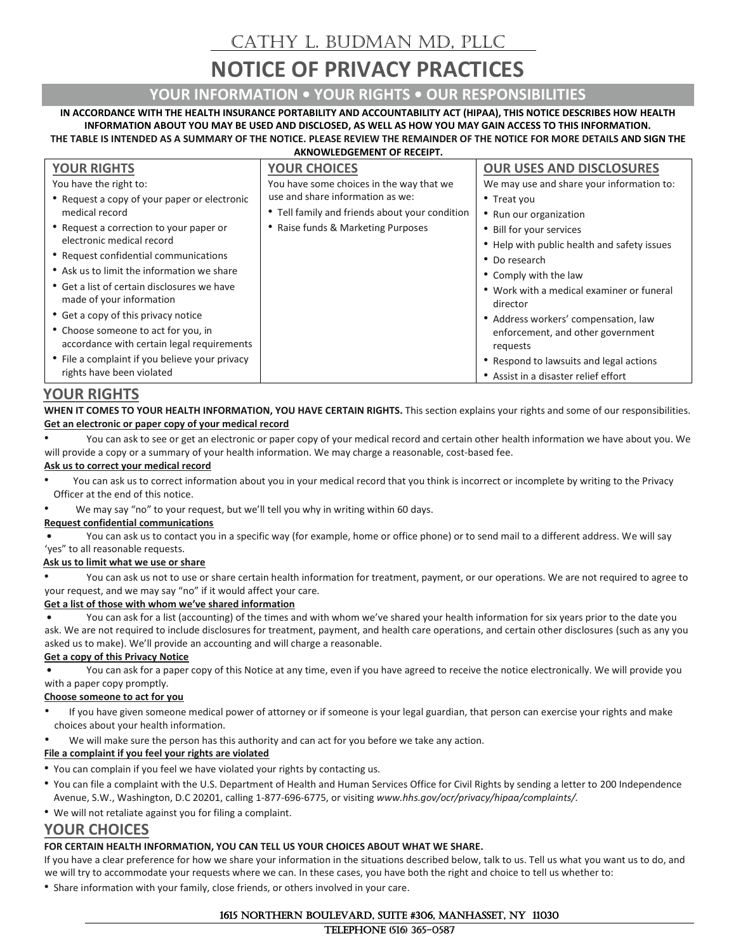## Cathy L. Budman MD, PLLC

# **NOTICE OF PRIVACY PRACTICES**

### **YOUR INFORMATION • YOUR RIGHTS • OUR RESPONSIBILITIES**

### **IN ACCORDANCE WITH THE HEALTH INSURANCE PORTABILITY AND ACCOUNTABILITY ACT (HIPAA), THIS NOTICE DESCRIBES HOW HEALTH INFORMATION ABOUT YOU MAY BE USED AND DISCLOSED, AS WELL AS HOW YOU MAY GAIN ACCESS TO THIS INFORMATION. THE TABLE IS INTENDED AS A SUMMARY OF THE NOTICE. PLEASE REVIEW THE REMAINDER OF THE NOTICE FOR MORE DETAILS AND SIGN THE**

### **AKNOWLEDGEMENT OF RECEIPT.**

| <b>YOUR RIGHTS</b>                                                                | <b>YOUR CHOICES</b>                            | <b>OUR USES AND DISCLOSURES</b>                       |
|-----------------------------------------------------------------------------------|------------------------------------------------|-------------------------------------------------------|
| You have the right to:                                                            | You have some choices in the way that we       | We may use and share your information to:             |
| • Request a copy of your paper or electronic                                      | use and share information as we:               | • Treat you                                           |
| medical record                                                                    | • Tell family and friends about your condition | • Run our organization                                |
| • Request a correction to your paper or                                           | • Raise funds & Marketing Purposes             | • Bill for your services                              |
| electronic medical record                                                         |                                                | • Help with public health and safety issues           |
| • Request confidential communications                                             |                                                | • Do research                                         |
| • Ask us to limit the information we share                                        |                                                | • Comply with the law                                 |
| • Get a list of certain disclosures we have<br>made of your information           |                                                | • Work with a medical examiner or funeral<br>director |
| • Get a copy of this privacy notice                                               |                                                | • Address workers' compensation, law                  |
| • Choose someone to act for you, in<br>accordance with certain legal requirements |                                                | enforcement, and other government<br>requests         |
| • File a complaint if you believe your privacy                                    |                                                | • Respond to lawsuits and legal actions               |
| rights have been violated                                                         |                                                | • Assist in a disaster relief effort                  |

### **YOUR RIGHTS**

**WHEN IT COMES TO YOUR HEALTH INFORMATION, YOU HAVE CERTAIN RIGHTS.** This section explains your rights and some of our responsibilities. **Get an electronic or paper copy of your medical record**

• You can ask to see or get an electronic or paper copy of your medical record and certain other health information we have about you. We will provide a copy or a summary of your health information. We may charge a reasonable, cost-based fee.

### **Ask us to correct your medical record**

- You can ask us to correct information about you in your medical record that you think is incorrect or incomplete by writing to the Privacy Officer at the end of this notice.
- We may say "no" to your request, but we'll tell you why in writing within 60 days.

### **Request confidential communications**

**•** You can ask us to contact you in a specific way (for example, home or office phone) or to send mail to a different address. We will say 'yes" to all reasonable requests.

### **Ask us to limit what we use or share**

• You can ask us not to use or share certain health information for treatment, payment, or our operations. We are not required to agree to your request, and we may say "no" if it would affect your care.

### **Get a list of those with whom we've shared information**

**•** You can ask for a list (accounting) of the times and with whom we've shared your health information for six years prior to the date you ask. We are not required to include disclosures for treatment, payment, and health care operations, and certain other disclosures (such as any you asked us to make). We'll provide an accounting and will charge a reasonable.

### **Get a copy of this Privacy Notice**

**•** You can ask for a paper copy of this Notice at any time, even if you have agreed to receive the notice electronically. We will provide you with a paper copy promptly.

### **Choose someone to act for you**

- If you have given someone medical power of attorney or if someone is your legal guardian, that person can exercise your rights and make choices about your health information.
- We will make sure the person has this authority and can act for you before we take any action.

### **File a complaint if you feel your rights are violated**

- You can complain if you feel we have violated your rights by contacting us.
- You can file a complaint with the U.S. Department of Health and Human Services Office for Civil Rights by sending a letter to 200 Independence Avenue, S.W., Washington, D.C 20201, calling 1-877-696-6775, or visiting *www.hhs.gov/ocr/privacy/hipaa/complaints/.*
- We will not retaliate against you for filing a complaint.

### **YOUR CHOICES**

### **FOR CERTAIN HEALTH INFORMATION, YOU CAN TELL US YOUR CHOICES ABOUT WHAT WE SHARE.**

If you have a clear preference for how we share your information in the situations described below, talk to us. Tell us what you want us to do, and we will try to accommodate your requests where we can. In these cases, you have both the right and choice to tell us whether to:

• Share information with your family, close friends, or others involved in your care.

### 1615 Northern Boulevard, Suite #306, Manhasset, NY 11030 Telephone (516) 365-0587